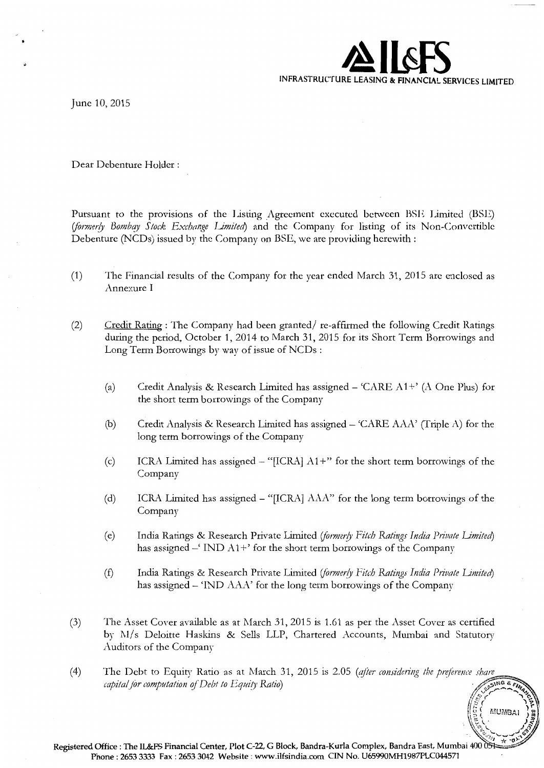

June 10, 2015

Dear Debenture Holder :

Pursuant to the provisions of the Listing Agreement executed between BSE Limited (BSE) (formerly Bombay Stock Exchange Limited) and the Company for listing of its Non-Convertible Debenture (NCDs) issued by the Company on BSE, we arc providing herewith:

- (1) The Financial results of the Company for the year ended March 31, 2015 arc enclosed as Annexure I
- (2) Credit Rating : The Company had been granted/ re-affirmed the following Credit Ratings during the period, October 1, 2014 to March 31, 2015 for its Short Term Borrowings and Long Term Borrowings by way of issue of NCDs :
	- (a) Credit Analysis & Research Limited has assigned  $-$  'CARE A1+' (A One Plus) for the short term borrowings of the Company
	- (b) Credit Analysis & Research Limited has assigned- 'CARE AAA' (Triple A) for the long term borrowings of the Company
	- (c) ICRA Limited has assigned  $-$  "[ICRA]  $A1+$ " for the short term borrowings of the Company
	- (d) ICRA Limited has assigned- "[ICRA] AAA" for the long term borrowings of the Company
	- (e) India Ratings & Research Private Limited (formerly Fitch Ratings India Private Limited) has assigned  $-$ ' IND  $A1+$ ' for the short term borrowings of the Company
	- (f) India Ratings & Research Private Limited (formerly Fitch Ratings India Private Limited) has assigned - 'IND AAA' for the long term borrowings of the Company
- (3) The Asset Cover available as at March 31, 2015 is 1.61 as per the Asset Cover as certified by M/s Deloitte Haskins & Sells LLP, Chartered Accounts, Mumbai and Statutory Auditors of the Company
- (4) The Debt to Equity Ratio as at March 31, 2015 is 2.05 *(after considering the preference share capital for computation of Debt to Equity Ratio capital for computation of Debt to Equity Ratio*)

 $\sqrt[n]{\mathscr{C}}$ 

**, (5**<sup>2</sup> MUMBAI )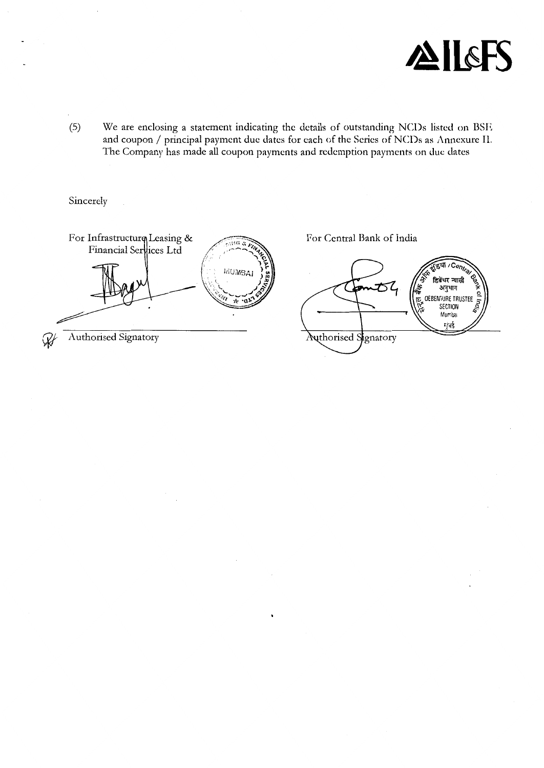

(5) We are enclosing a statement indicating the details of outstanding NCDs listed on BSE and coupon/ principal payment due dates for each of the Series of NCDs as Annexure II. The Company has made all coupon payments and redemption payments on due dates

Sincerely

For Infrastructurq Leasing & For Central Bank of India ು. ೧೦೦<br>ಬಗ<mark>್</mark> ಇ Financial Services Ltd - 11 **MUMBAI** डिबेंचर न्यासी  $\cal{Z}$ अनुभाग DEBENTURE TRUSTEE E y. ٠d मृतई Authorised Signatory Authorised Signatory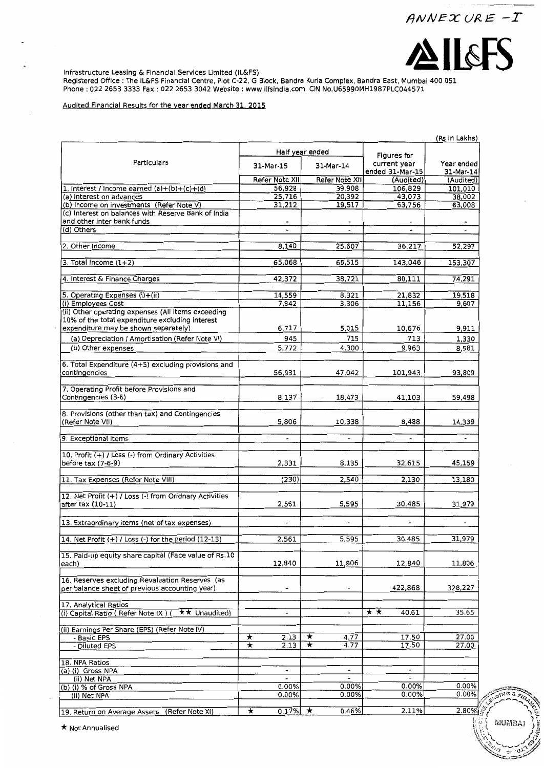



SING &

**MUMBAI** 

 $\sim 0$ 

ast F

Infrastructure Leasing & Financial Services Limited (IL&FS)

Registered Office :The IL&FS Financial Centre, Plot C-22, G Block, Bandra Kurla Complex, Bandra East, Mumbal 400 051 Phone : 022 2653 3333 Fax : 022 2653 3042 Website : www.llfslndla.com CIN No.U65990MH1987PLC044571

#### Audited Financial Results for the year ended March 31. 2015

|                                                                                                   |                          |                          |                                 | (Rs In Lakhs)            |
|---------------------------------------------------------------------------------------------------|--------------------------|--------------------------|---------------------------------|--------------------------|
|                                                                                                   |                          | Half year ended          | Figures for                     |                          |
| Particulars                                                                                       | 31-Mar-15                | 31-Mar-14                | current year<br>ended 31-Mar-15 | Year ended<br>31-Mar-14  |
|                                                                                                   | Refer Note XII           | Refer Note XII           | (Audited)                       | (Audited)                |
| 1. Interest / Income earned $(a)+(b)+(c)+(d)$                                                     | 56,928                   | 39,908                   | 106,829                         | 101,010                  |
| (a) Interest on advances                                                                          | 25,716                   | 20,392                   | 43,073                          | 38,002                   |
| (b) Income on investments (Refer Note V)                                                          | 31,212                   | 19,517                   | 63,756                          | 63,008                   |
| (c) Interest on balances with Reserve Bank of India<br>and other inter bank funds                 |                          |                          |                                 |                          |
| (d) Others                                                                                        |                          |                          |                                 |                          |
|                                                                                                   |                          |                          |                                 |                          |
| 2. Other Income                                                                                   | 8,140                    | 25,607                   | 36,217                          | 52,297                   |
|                                                                                                   |                          |                          |                                 |                          |
| 3. Total Income $(1+2)$                                                                           | 65,068                   | 65,515                   | 143,046                         | 153,307                  |
|                                                                                                   |                          |                          |                                 |                          |
| 4. Interest & Finance Charges                                                                     | 42,372                   | 38,721                   | 80,111                          | 74,291                   |
| 5. Operating Expenses (i)+(ii)                                                                    | 14,559                   | 8,321                    | 21,832                          | 19,518                   |
| (i) Employees Cost                                                                                | 7,842                    | 3,306                    | 11,156                          | 9,607                    |
| (ii) Other operating expenses (All items exceeding                                                |                          |                          |                                 |                          |
| 10% of the total expenditure excluding interest                                                   |                          |                          |                                 |                          |
| expenditure may be shown separately)                                                              | 6,717                    | 5,015                    | 10,676                          | 9,911                    |
| (a) Depreciation / Amortisation (Refer Note VI)                                                   | 945                      | 715                      | 713                             | 1,330                    |
| (b) Other expenses                                                                                | 5,772                    | 4,300                    | 9,963                           | 8,581                    |
|                                                                                                   |                          |                          |                                 |                          |
| 6. Total Expenditure (4+5) excluding provisions and                                               |                          |                          |                                 |                          |
| contingencies                                                                                     | 56,931                   | 47.042                   | 101,943                         | 93,809                   |
|                                                                                                   |                          |                          |                                 |                          |
| 7. Operating Profit before Provisions and                                                         |                          |                          |                                 |                          |
| Contingencies (3-6)                                                                               | 8,137                    | 18,473                   | 41,103                          | 59,498                   |
|                                                                                                   |                          |                          |                                 |                          |
| 8. Provisions (other than tax) and Contingencies<br>(Refer Note VII)                              | 5,806                    | 10,338                   | 8,488                           | 14,339                   |
|                                                                                                   |                          |                          |                                 |                          |
| 9. Exceptional Items                                                                              | $\overline{\phantom{a}}$ | $\overline{\phantom{a}}$ | $\overline{\phantom{a}}$        | $\blacksquare$           |
|                                                                                                   |                          |                          |                                 |                          |
| 10. Profit (+) / Loss (-) from Ordinary Activities                                                |                          |                          |                                 |                          |
| before tax (7-8-9)                                                                                | 2,331                    | 8,135                    | 32,615                          | 45,159                   |
|                                                                                                   |                          |                          |                                 |                          |
| 11. Tax Expenses (Refer Note VIII)                                                                | (230)                    | 2,540                    | 2,130                           | 13,180                   |
| 12. Net Profit (+) / Loss (-) from Oridnary Activities                                            |                          |                          |                                 |                          |
| after tax (10-11)                                                                                 | 2,561                    | 5,595                    | 30,485                          | 31,979                   |
|                                                                                                   |                          |                          |                                 |                          |
| 13. Extraordinary items (net of tax expenses)                                                     |                          |                          |                                 |                          |
|                                                                                                   |                          |                          |                                 |                          |
| 14. Net Profit $(+)$ / Loss $(-)$ for the period $(12-13)$                                        | 2,561                    | 5,595                    | 30,485                          | 31,979                   |
|                                                                                                   |                          |                          |                                 |                          |
| 15. Paid-up equity share capital (Face value of Rs.10                                             |                          |                          |                                 |                          |
| each)                                                                                             | 12,840                   | 11,806                   | 12,840                          | 11,806                   |
|                                                                                                   |                          |                          |                                 |                          |
| 16. Reserves excluding Revaluation Reserves (as<br>per balance sheet of previous accounting year) | $\overline{\phantom{0}}$ |                          | 422,868                         | 328,227                  |
|                                                                                                   |                          |                          |                                 |                          |
| 17. Analytical Ratios                                                                             |                          |                          |                                 |                          |
| (i) Capital Ratio (Refer Note IX) (<br>★★ Unaudited)                                              | $\overline{\phantom{a}}$ | $\overline{\phantom{0}}$ | ★★<br>40.61                     | 35.65                    |
|                                                                                                   |                          |                          |                                 |                          |
| (ii) Earnings Per Share (EPS) (Refer Note IV)                                                     |                          |                          |                                 |                          |
| - Basic EPS                                                                                       | 2.13<br>★                | ★<br>4.77                | 17.50                           | 27.00                    |
| - Diluted EPS                                                                                     | ★<br>2.13                | ¥<br>4.77                | 17.50                           | 27.00                    |
|                                                                                                   |                          |                          |                                 |                          |
| 18. NPA Ratios                                                                                    |                          | $\overline{\phantom{a}}$ | $\overline{\phantom{a}}$        |                          |
| (a) (i) Gross NPA<br>(ii) Net NPA                                                                 | $\overline{a}$           | $\overline{a}$           | $\blacksquare$                  | $\overline{\phantom{0}}$ |
| (b) (i) % of Gross NPA                                                                            | 0.00%                    | 0.00%                    | 0.00%                           | 0.00%                    |
| (ii) Net NPA                                                                                      | 0.00%                    | 0.00%                    | 0.00%                           | 0.00%                    |
|                                                                                                   |                          |                          |                                 |                          |
| 19. Return on Average Assets<br>(Refer Note XI)                                                   | 0.17%<br>$\star$         | 0.46%<br>★               | 2.11%                           | 2.80%                    |
|                                                                                                   |                          |                          |                                 | $\mathbb{R}^n$           |

19. Return on Average<br> **\*** Not Annualised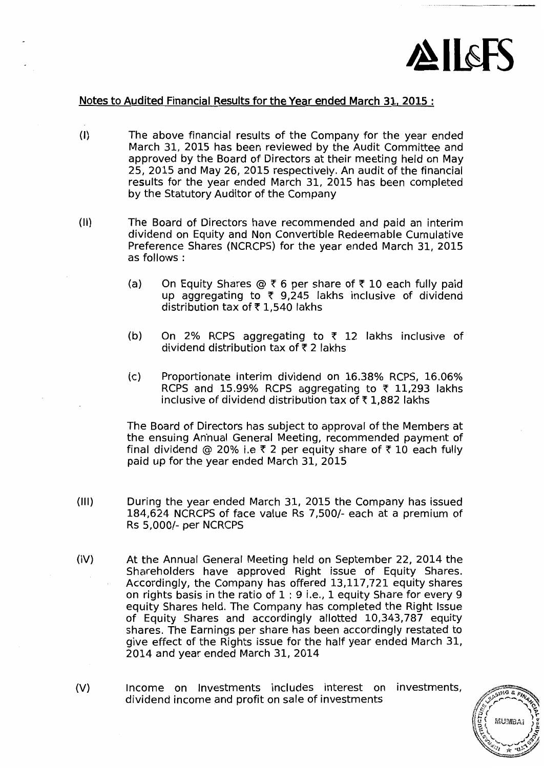

## Notes to Audited Financial Results for the Year ended March 31, 2015 :

- (I) The above financial results of the Company for the year ended March 31, 2015 has been reviewed by the Audit Committee and approved by the Board of Directors at their meeting held on May 25, 2015 and May 26, 2015 respectively. An audit of the financial results for the year ended March 31, 2015 has been completed by the Statutory Auditor of the Company
- (II) The Board of Directors have recommended and paid an interim dividend on Equity and Non Convertible Redeemable Cumulative Preference Shares (NCRCPS) for the year ended March 31, 2015 as follows:
	- (a) On Equity Shares  $\circledcirc$   $\bar{\uparrow}$  6 per share of  $\bar{\uparrow}$  10 each fully paid up aggregating to  $\bar{\tau}$  9,245 lakhs inclusive of dividend distribution tax of  $\bar{\tau}$  1,540 lakhs
	- (b) On 2% RCPS aggregating to  $\bar{\tau}$  12 lakhs inclusive of dividend distribution tax of  $\bar{\tau}$  2 lakhs
	- (c) Proportionate interim dividend on 16.38% RCPS, 16.06% RCPS and 15.99% RCPS aggregating to  $\bar{\tau}$  11,293 lakhs inclusive of dividend distribution tax of  $\bar{\tau}$  1,882 lakhs

The Board of Directors has subject to approval of the Members at the ensuing Anhual General Meeting, recommended payment of final dividend @ 20% i.e  $\bar{\tau}$  2 per equity share of  $\bar{\tau}$  10 each fully paid up for the year ended March 31, 2015

- (Ill) During the year ended March 31, 2015 the Company has issued 184,624 NCRCPS of face value Rs 7,500/- each at a premium of Rs 5,000/- per NCRCPS
- (IV) At the Annual General Meeting held on September 22, 2014 the Shareholders have approved Right issue of Equity Shares. Accordingly, the Company has offered 13,117,721 equity shares on rights basis in the ratio of 1 : 9 i.e., 1 equity Share for every 9 equity Shares held. The Company has completed the Right Issue of Equity Shares and accordingly allotted 10,343,787 equity shares. The Earnings per share has been accordingly restated to give effect of the Rights issue for the half year ended March 31, 2014 and year ended March 31, 2014
- (V) Income on Investments includes interest on investments, dividend income and profit on sale of investments

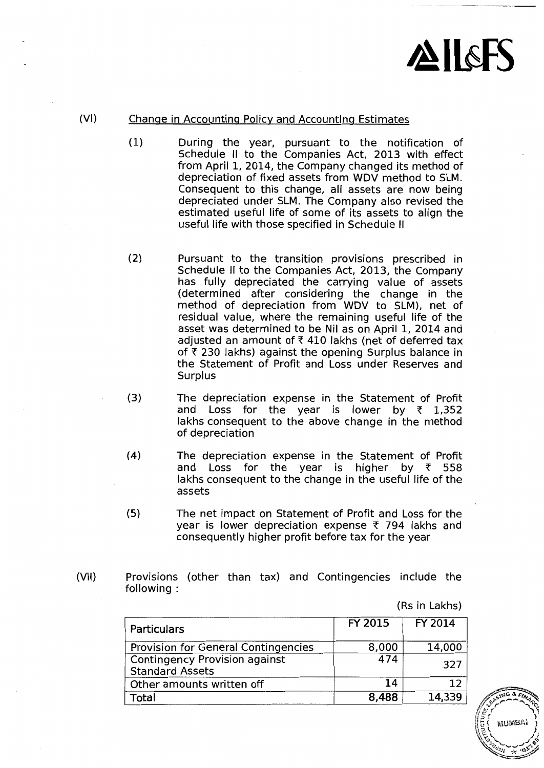

# {VI) Change in Accounting Policy and Accounting Estimates

- {1) During the year, pursuant to the notification of Schedule II to the Companies Act, 2013 with effect from April 1, 2014, the Company changed its method of depreciation of fixed assets from WDV method to SLM. Consequent to this change, all assets are now being depreciated under SLM. The Company also revised the estimated useful life of some of its assets to align the useful life with those specified in Schedule II
- {2) Pursuant to the transition provisions prescribed in Schedule II to the Companies Act, 2013, the Company has fully depreciated the carrying value of assets {determined after considering the change in the method of depreciation from WDV to SLM), net of residual value, where the remaining useful life of the asset was determined to be Nil as on April 1, 2014 and adjusted an amount of  $7$  410 lakhs (net of deferred tax of  $\bar{\tau}$  230 lakhs) against the opening Surplus balance in the Statement of Profit and Loss under Reserves and **Surplus**
- {3) The depreciation expense in the Statement of Profit and Loss for the year is lower by  $\bar{\tau}$  1,352 lakhs consequent to the above change in the method of depreciation
- {4) The depreciation expense in the Statement of Profit and Loss for the year is higher by  $\bar{\tau}$  558 lakhs consequent to the change in the useful life of the assets
- {5) The net impact on Statement of Profit and Loss for the year is lower depreciation expense  $\bar{\tau}$  794 lakhs and consequently higher profit before tax for the year
- {VII) Provisions {other than tax) and Contingencies include the following:

{Rs in Lakhs)

| Particulars                                                    | FY 2015 | FY 2014 |
|----------------------------------------------------------------|---------|---------|
| Provision for General Contingencies                            | 8,000   | 14,000  |
| <b>Contingency Provision against</b><br><b>Standard Assets</b> | 474     | 327     |
| Other amounts written off                                      | 14      | 1 フ     |
| Total                                                          | 8,488   | 14,339  |

58 HMB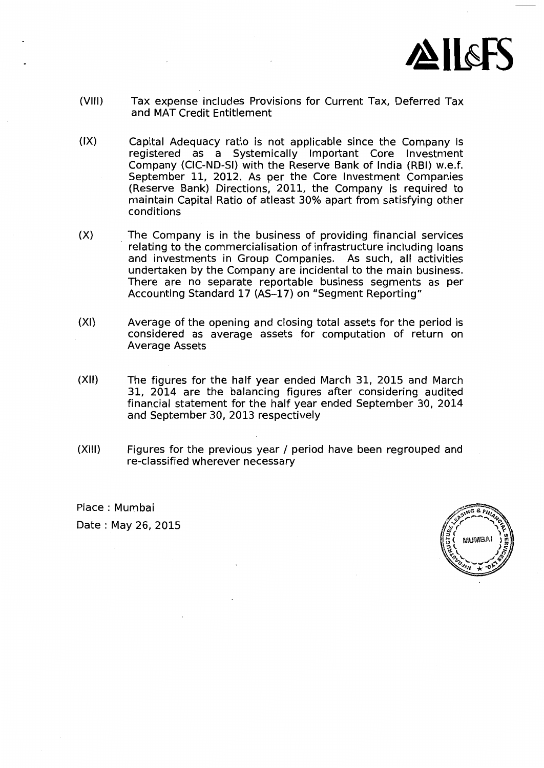

- (VIII) Tax expense includes Provisions for Current Tax, Deferred Tax and MAT Credit Entitlement
- (IX) Capital Adequacy ratio is not applicable since the Company is registered as a Systemically Important Core Investment Company (CIC-ND-SI) with the Reserve Bank of India (RBI) w.e.f. September 11, 2012. As per the Core Investment Companies (Reserve Bank) Directions, 2011, the Company is required to maintain Capital Ratio of atleast 30% apart from satisfying other conditions
- (X) The Company is in the business of providing financial services relating to the commercialisation of infrastructure including loans and investments in Group Companies. As such, all activities undertaken by the Company are incidental to the main business. There are no separate reportable business segments as per Accounting Standard 17 (AS-17) on "Segment Reporting"
- (XI) Average of the opening and closing total assets for the period is considered as average assets for computation of return on Average Assets
- (XII) The figures for the half year ended March 31, 2015 and March 31, 2014 are the balancing figures after considering audited financial statement for the half year ended September 30, 2014 and September 30, 2013 respectively
- (XIII) Figures for the previous year / period have been regrouped and re-classified wherever necessary

Place : Mumbai Date : May 26, 2015